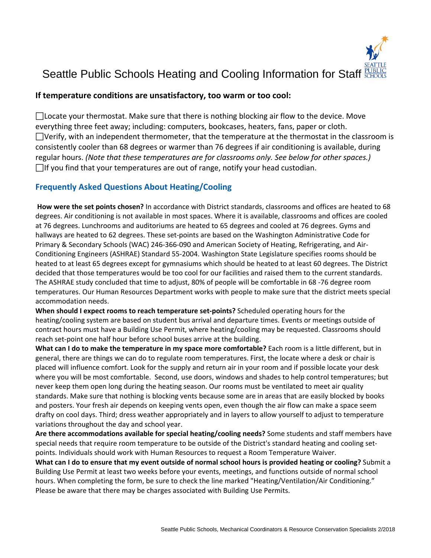

# Seattle Public Schools Heating and Cooling Information for Staff

#### **If temperature conditions are unsatisfactory, too warm or too cool:**

□ Locate your thermostat. Make sure that there is nothing blocking air flow to the device. Move everything three feet away; including: computers, bookcases, heaters, fans, paper or cloth.  $\Box$ Verify, with an independent thermometer, that the temperature at the thermostat in the classroom is consistently cooler than 68 degrees or warmer than 76 degrees if air conditioning is available, during regular hours. *(Note that these temperatures are for classrooms only. See below for other spaces.)*   $\Box$  If you find that your temperatures are out of range, notify your head custodian.

#### **Frequently Asked Questions About Heating/Cooling**

**How were the set points chosen?** In accordance with District standards, classrooms and offices are heated to 68 degrees. Air conditioning is not available in most spaces. Where it is available, classrooms and offices are cooled at 76 degrees. Lunchrooms and auditoriums are heated to 65 degrees and cooled at 76 degrees. Gyms and hallways are heated to 62 degrees. These set-points are based on the Washington Administrative Code for Primary & Secondary Schools (WAC) 246-366-090 and American Society of Heating, Refrigerating, and Air-Conditioning Engineers (ASHRAE) Standard 55-2004. Washington State Legislature specifies rooms should be heated to at least 65 degrees except for gymnasiums which should be heated to at least 60 degrees. The District decided that those temperatures would be too cool for our facilities and raised them to the current standards. The ASHRAE study concluded that time to adjust, 80% of people will be comfortable in 68 -76 degree room temperatures. Our Human Resources Department works with people to make sure that the district meets special accommodation needs.

**When should I expect rooms to reach temperature set-points?** Scheduled operating hours for the heating/cooling system are based on student bus arrival and departure times. Events or meetings outside of contract hours must have a Building Use Permit, where heating/cooling may be requested. Classrooms should reach set-point one half hour before school buses arrive at the building.

**What can I do to make the temperature in my space more comfortable?** Each room is a little different, but in general, there are things we can do to regulate room temperatures. First, the locate where a desk or chair is placed will influence comfort. Look for the supply and return air in your room and if possible locate your desk where you will be most comfortable. Second, use doors, windows and shades to help control temperatures; but never keep them open long during the heating season. Our rooms must be ventilated to meet air quality standards. Make sure that nothing is blocking vents because some are in areas that are easily blocked by books and posters. Your fresh air depends on keeping vents open, even though the air flow can make a space seem drafty on cool days. Third; dress weather appropriately and in layers to allow yourself to adjust to temperature variations throughout the day and school year.

**Are there accommodations available for special heating/cooling needs?** Some students and staff members have special needs that require room temperature to be outside of the District's standard heating and cooling setpoints. Individuals should work with Human Resources to request a Room Temperature Waiver.

**What can I do to ensure that my event outside of normal school hours is provided heating or cooling?** Submit a Building Use Permit at least two weeks before your events, meetings, and functions outside of normal school hours. When completing the form, be sure to check the line marked "Heating/Ventilation/Air Conditioning." Please be aware that there may be charges associated with Building Use Permits.